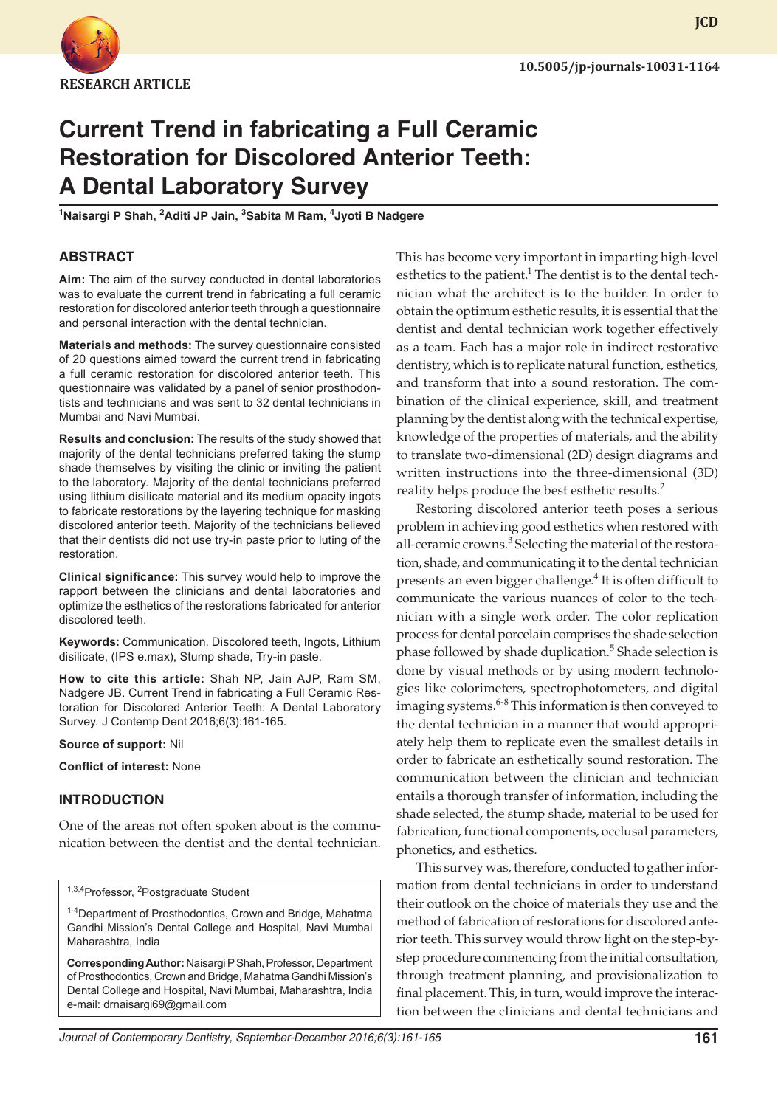

# **Current Trend in fabricating a Full Ceramic Restoration for Discolored Anterior Teeth: A Dental Laboratory Survey**

**1 Naisargi P Shah, 2 Aditi JP Jain, 3 Sabita M Ram, 4 Jyoti B Nadgere**

## **ABSTRACT**

**Aim:** The aim of the survey conducted in dental laboratories was to evaluate the current trend in fabricating a full ceramic restoration for discolored anterior teeth through a questionnaire and personal interaction with the dental technician.

**Materials and methods:** The survey questionnaire consisted of 20 questions aimed toward the current trend in fabricating a full ceramic restoration for discolored anterior teeth. This questionnaire was validated by a panel of senior prosthodontists and technicians and was sent to 32 dental technicians in Mumbai and Navi Mumbai.

**Results and conclusion:** The results of the study showed that majority of the dental technicians preferred taking the stump shade themselves by visiting the clinic or inviting the patient to the laboratory. Majority of the dental technicians preferred using lithium disilicate material and its medium opacity ingots to fabricate restorations by the layering technique for masking discolored anterior teeth. Majority of the technicians believed that their dentists did not use try-in paste prior to luting of the restoration.

**Clinical significance:** This survey would help to improve the rapport between the clinicians and dental laboratories and optimize the esthetics of the restorations fabricated for anterior discolored teeth.

**Keywords:** Communication, Discolored teeth, Ingots, Lithium disilicate, (IPS e.max), Stump shade, Try-in paste.

**How to cite this article:** Shah NP, Jain AJP, Ram SM, Nadgere JB. Current Trend in fabricating a Full Ceramic Restoration for Discolored Anterior Teeth: A Dental Laboratory Survey. J Contemp Dent 2016;6(3):161-165.

**Source of support:** Nil

**Conflict of interest:** None

## **INTRODUCTION**

One of the areas not often spoken about is the communication between the dentist and the dental technician.

<sup>1,3,4</sup>Professor, <sup>2</sup>Postgraduate Student

<sup>1-4</sup>Department of Prosthodontics, Crown and Bridge, Mahatma Gandhi Mission's Dental College and Hospital, Navi Mumbai Maharashtra, India

**Corresponding Author:** Naisargi P Shah, Professor, Department of Prosthodontics, Crown and Bridge, Mahatma Gandhi Mission's Dental College and Hospital, Navi Mumbai, Maharashtra, India e-mail: drnaisargi69@gmail.com

This has become very important in imparting high-level esthetics to the patient.<sup>1</sup> The dentist is to the dental technician what the architect is to the builder. In order to obtain the optimum esthetic results, it is essential that the dentist and dental technician work together effectively as a team. Each has a major role in indirect restorative dentistry, which is to replicate natural function, esthetics, and transform that into a sound restoration. The combination of the clinical experience, skill, and treatment planning by the dentist along with the technical expertise, knowledge of the properties of materials, and the ability to translate two-dimensional (2D) design diagrams and written instructions into the three-dimensional (3D) reality helps produce the best esthetic results.<sup>2</sup>

Restoring discolored anterior teeth poses a serious problem in achieving good esthetics when restored with all-ceramic crowns.<sup>3</sup> Selecting the material of the restoration, shade, and communicating it to the dental technician presents an even bigger challenge.<sup>4</sup> It is often difficult to communicate the various nuances of color to the technician with a single work order. The color replication process for dental porcelain comprises the shade selection phase followed by shade duplication.<sup>5</sup> Shade selection is done by visual methods or by using modern technologies like colorimeters, spectrophotometers, and digital imaging systems.<sup>6-8</sup> This information is then conveyed to the dental technician in a manner that would appropriately help them to replicate even the smallest details in order to fabricate an esthetically sound restoration. The communication between the clinician and technician entails a thorough transfer of information, including the shade selected, the stump shade, material to be used for fabrication, functional components, occlusal parameters, phonetics, and esthetics.

This survey was, therefore, conducted to gather information from dental technicians in order to understand their outlook on the choice of materials they use and the method of fabrication of restorations for discolored anterior teeth. This survey would throw light on the step-bystep procedure commencing from the initial consultation, through treatment planning, and provisionalization to final placement. This, in turn, would improve the interaction between the clinicians and dental technicians and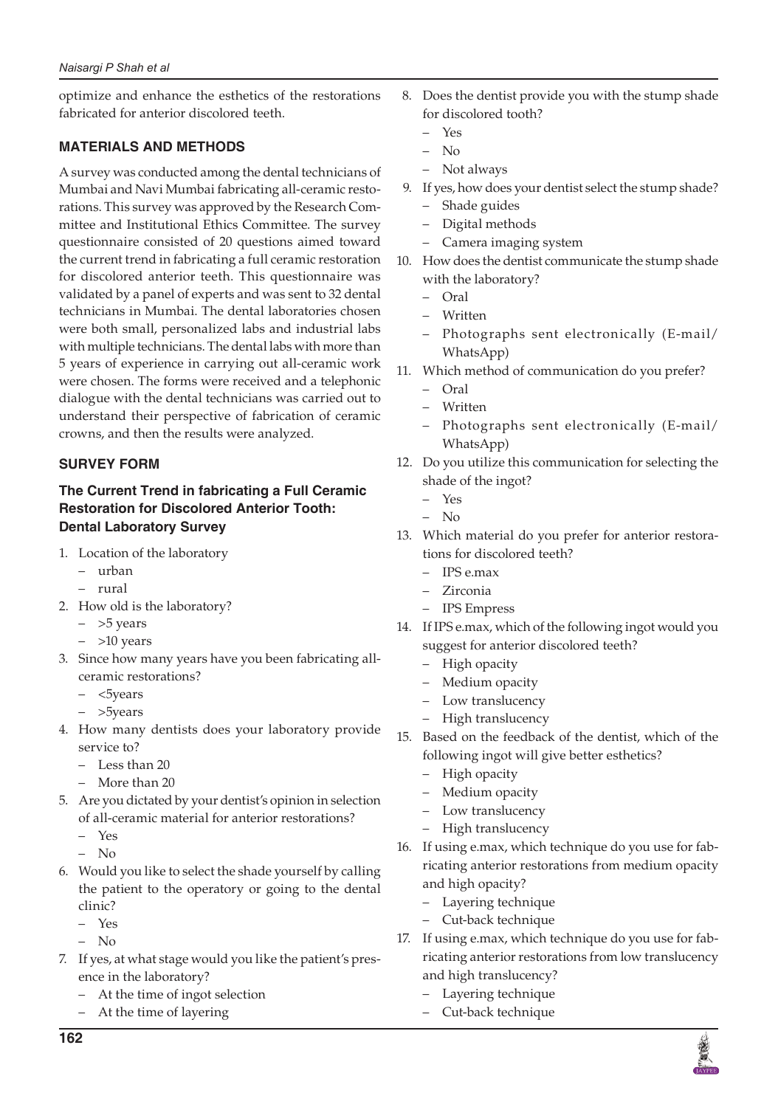optimize and enhance the esthetics of the restorations fabricated for anterior discolored teeth.

# **Materials and methods**

A survey was conducted among the dental technicians of Mumbai and Navi Mumbai fabricating all-ceramic restorations. This survey was approved by the Research Committee and Institutional Ethics Committee. The survey questionnaire consisted of 20 questions aimed toward the current trend in fabricating a full ceramic restoration for discolored anterior teeth. This questionnaire was validated by a panel of experts and was sent to 32 dental technicians in Mumbai. The dental laboratories chosen were both small, personalized labs and industrial labs with multiple technicians. The dental labs with more than 5 years of experience in carrying out all-ceramic work were chosen. The forms were received and a telephonic dialogue with the dental technicians was carried out to understand their perspective of fabrication of ceramic crowns, and then the results were analyzed.

# **SURVEY FORM**

## **The Current Trend in fabricating a Full Ceramic Restoration for Discolored Anterior Tooth: Dental Laboratory Survey**

- 1. Location of the laboratory
	- urban
	- rural
- 2. How old is the laboratory?
	- >5 years
	- $-$  >10 years
- 3. Since how many years have you been fabricating allceramic restorations?
	- <5years
	- >5years
- 4. How many dentists does your laboratory provide service to?
	- Less than 20
	- More than 20
- 5. Are you dictated by your dentist's opinion in selection of all-ceramic material for anterior restorations?
	- Yes
	- No
- 6. Would you like to select the shade yourself by calling the patient to the operatory or going to the dental clinic?
	- Yes
	- No
- 7. If yes, at what stage would you like the patient's presence in the laboratory?
	- At the time of ingot selection
	- At the time of layering
- 8. Does the dentist provide you with the stump shade for discolored tooth?
	- Yes
	- No
	- Not always
- 9. If yes, how does your dentist select the stump shade? Shade guides
	- Digital methods
	- Camera imaging system
- 10. How does the dentist communicate the stump shade with the laboratory?
	- Oral
	- Written
	- Photographs sent electronically (E-mail/ WhatsApp)
- 11. Which method of communication do you prefer?
	- Oral
	- Written
	- Photographs sent electronically (E-mail/ WhatsApp)
- 12. Do you utilize this communication for selecting the shade of the ingot?
	- Yes
	- No
- 13. Which material do you prefer for anterior restorations for discolored teeth?
	- IPS e.max
	- Zirconia
	- IPS Empress
- 14. If IPS e.max, which of the following ingot would you suggest for anterior discolored teeth?
	- High opacity
	- Medium opacity
	- Low translucency
	- High translucency
- 15. Based on the feedback of the dentist, which of the following ingot will give better esthetics?
	- High opacity
	- Medium opacity
	- Low translucency
	- High translucency
- 16. If using e.max, which technique do you use for fabricating anterior restorations from medium opacity and high opacity?
	- Layering technique
	- Cut-back technique
- 17. If using e.max, which technique do you use for fabricating anterior restorations from low translucency and high translucency?
	- Layering technique
	- Cut-back technique

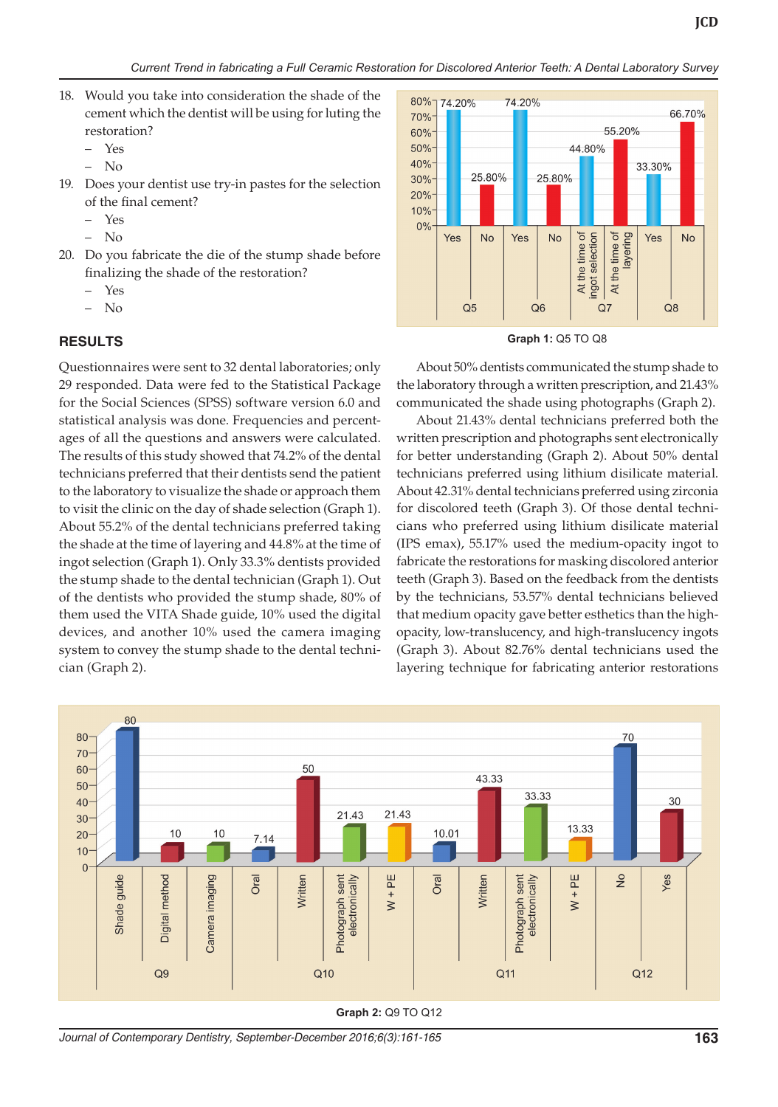- 18. Would you take into consideration the shade of the cement which the dentist will be using for luting the restoration?
	- Yes
	- No
- 19. Does your dentist use try-in pastes for the selection of the final cement?
	- $\gamma_{\rho}$
	- No
- 20. Do you fabricate the die of the stump shade before finalizing the shade of the restoration?
	- Yes
	- No

#### **RESULTS**

Questionnaires were sent to 32 dental laboratories; only 29 responded. Data were fed to the Statistical Package for the Social Sciences (SPSS) software version 6.0 and statistical analysis was done. Frequencies and percentages of all the questions and answers were calculated. The results of this study showed that 74.2% of the dental technicians preferred that their dentists send the patient to the laboratory to visualize the shade or approach them to visit the clinic on the day of shade selection (Graph 1). About 55.2% of the dental technicians preferred taking the shade at the time of layering and 44.8% at the time of ingot selection (Graph 1). Only 33.3% dentists provided the stump shade to the dental technician (Graph 1). Out of the dentists who provided the stump shade, 80% of them used the VITA Shade guide, 10% used the digital devices, and another 10% used the camera imaging system to convey the stump shade to the dental technician (Graph 2).



**Graph 1:** Q5 TO Q8

About 50% dentists communicated the stump shade to the laboratory through a written prescription, and 21.43% communicated the shade using photographs (Graph 2).

About 21.43% dental technicians preferred both the written prescription and photographs sent electronically for better understanding (Graph 2). About 50% dental technicians preferred using lithium disilicate material. About 42.31% dental technicians preferred using zirconia for discolored teeth (Graph 3). Of those dental technicians who preferred using lithium disilicate material (IPS emax), 55.17% used the medium-opacity ingot to fabricate the restorations for masking discolored anterior teeth (Graph 3). Based on the feedback from the dentists by the technicians, 53.57% dental technicians believed that medium opacity gave better esthetics than the highopacity, low-translucency, and high-translucency ingots (Graph 3). About 82.76% dental technicians used the layering technique for fabricating anterior restorations



**Graph 2:** Q9 TO Q12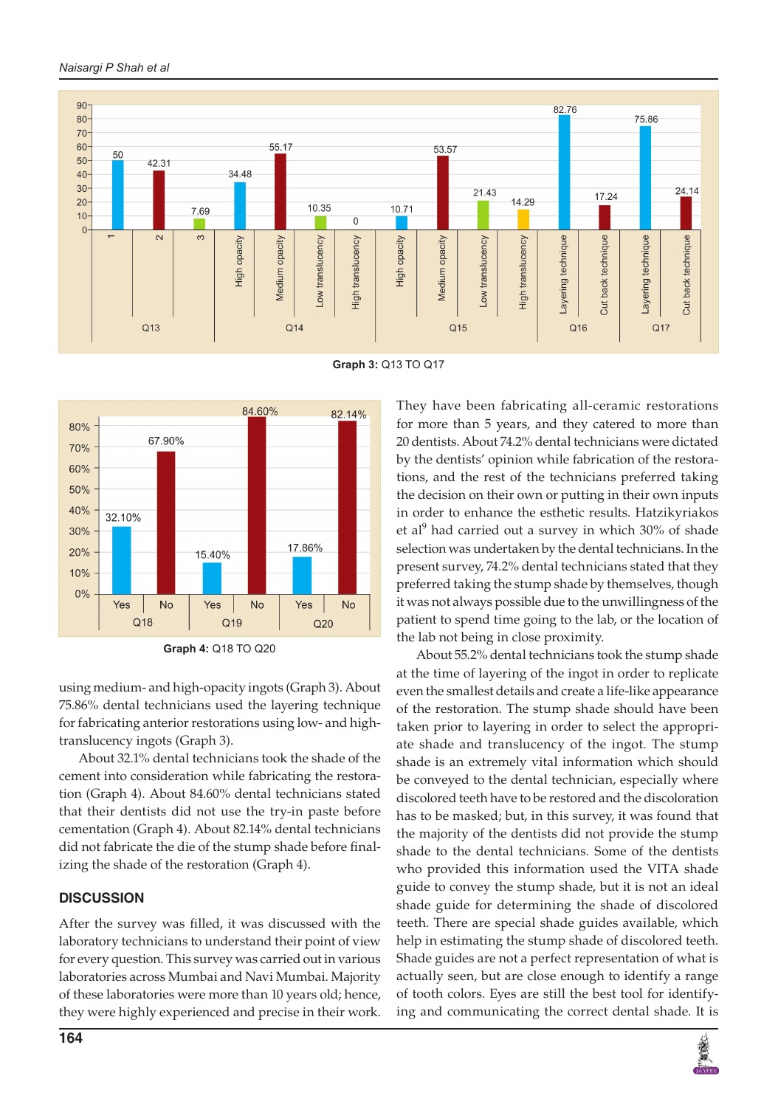#### *Naisargi P Shah et al*



**Graph 3:** Q13 TO Q17





using medium- and high-opacity ingots (Graph 3). About 75.86% dental technicians used the layering technique for fabricating anterior restorations using low- and hightranslucency ingots (Graph 3).

About 32.1% dental technicians took the shade of the cement into consideration while fabricating the restoration (Graph 4). About 84.60% dental technicians stated that their dentists did not use the try-in paste before cementation (Graph 4). About 82.14% dental technicians did not fabricate the die of the stump shade before finalizing the shade of the restoration (Graph 4).

## **DISCUSSION**

After the survey was filled, it was discussed with the laboratory technicians to understand their point of view for every question. This survey was carried out in various laboratories across Mumbai and Navi Mumbai. Majority of these laboratories were more than 10 years old; hence, they were highly experienced and precise in their work.

They have been fabricating all-ceramic restorations for more than 5 years, and they catered to more than 20 dentists. About 74.2% dental technicians were dictated by the dentists' opinion while fabrication of the restorations, and the rest of the technicians preferred taking the decision on their own or putting in their own inputs in order to enhance the esthetic results. Hatzikyriakos et al<sup>9</sup> had carried out a survey in which 30% of shade selection was undertaken by the dental technicians. In the present survey, 74.2% dental technicians stated that they preferred taking the stump shade by themselves, though it was not always possible due to the unwillingness of the patient to spend time going to the lab, or the location of the lab not being in close proximity.

About 55.2% dental technicians took the stump shade at the time of layering of the ingot in order to replicate even the smallest details and create a life-like appearance of the restoration. The stump shade should have been taken prior to layering in order to select the appropriate shade and translucency of the ingot. The stump shade is an extremely vital information which should be conveyed to the dental technician, especially where discolored teeth have to be restored and the discoloration has to be masked; but, in this survey, it was found that the majority of the dentists did not provide the stump shade to the dental technicians. Some of the dentists who provided this information used the VITA shade guide to convey the stump shade, but it is not an ideal shade guide for determining the shade of discolored teeth. There are special shade guides available, which help in estimating the stump shade of discolored teeth. Shade guides are not a perfect representation of what is actually seen, but are close enough to identify a range of tooth colors. Eyes are still the best tool for identifying and communicating the correct dental shade. It is